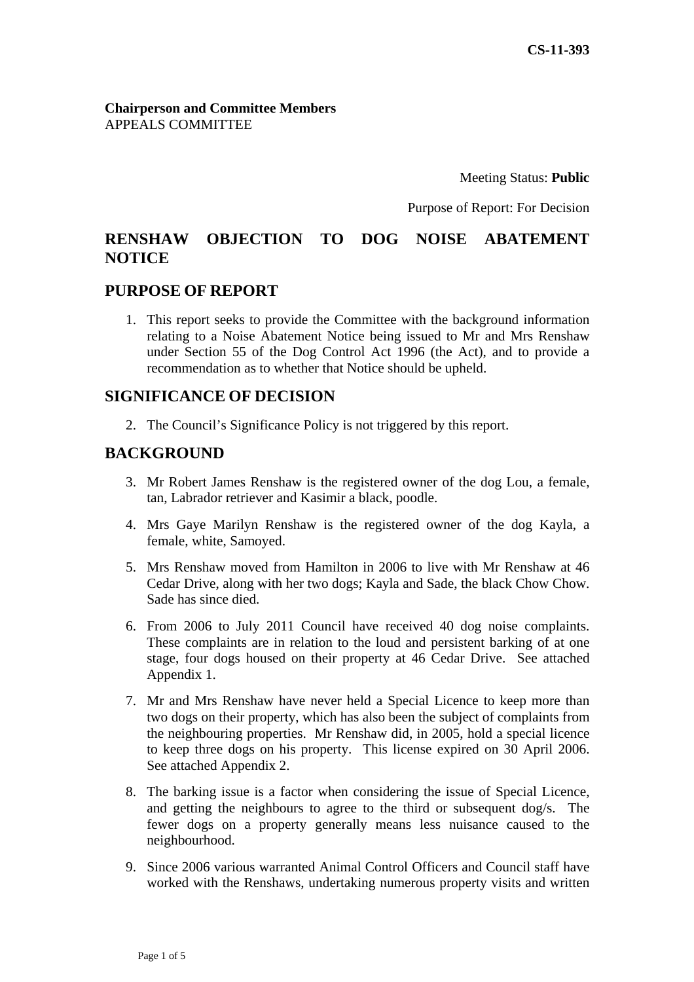**Chairperson and Committee Members** APPEALS COMMITTEE

Meeting Status: Public

Purpose of Report: For Decision

#### **CORIECTION TO DOG NOISE ABATEMENT RENSHAW NOTICE**

## **PURPOSE OF REPORT**

1. This report seeks to provide the Committee with the background information relating to a Noise Abatement Notice being issued to Mr and Mrs Renshaw under Section 55 of the Dog Control Act 1996 (the Act), and to provide a recommendation as to whether that Notice should be upheld.

## **E OF DECISION SIGNIFICANC**

2. The Council's Significance Policy is not triggered by this report.

## **BACKGROUND**

- 3. Mr Robert James Renshaw is the registered owner of the dog Lou, a female, tan, Labrador retriever and Kasimir a black, poodle.
- 4. Mrs Gaye Marilyn Renshaw is the registered owner of the dog Kayla, a female, white, Samoyed.
- 5. Mrs Renshaw moved from Hamilton in 2006 to live with Mr Renshaw at 46 Cedar Drive, along with her two dogs; Kayla and Sade, the black Chow Chow. Sade has since died.
- 6. From 2006 to July 2011 Council have received 40 dog noise complaints. These complaints are in relation to the loud and persistent barking of at one stage, four dogs housed on their property at 46 Cedar Drive. See attached Appendix 1.
- 7. Mr and Mrs Renshaw have never held a Special Licence to keep more than the neighbouring properties. Mr Renshaw did, in 2005, hold a special licence to keep three dogs on his property. This license expired on 30 April 2006. two dogs on their property, which has also been the subject of complaints from See attached Appendix 2.
- 8. The barking issue is a factor when considering the issue of Special Licence, and getting the neighbours to agree to the third or subsequent dog/s. The fewer dogs on a property generally means less nuisance caused to the neighbourhood.
- 9. Since 2006 various warranted Animal Control Officers and Council staff have worked with the Renshaws, undertaking numerous property visits and written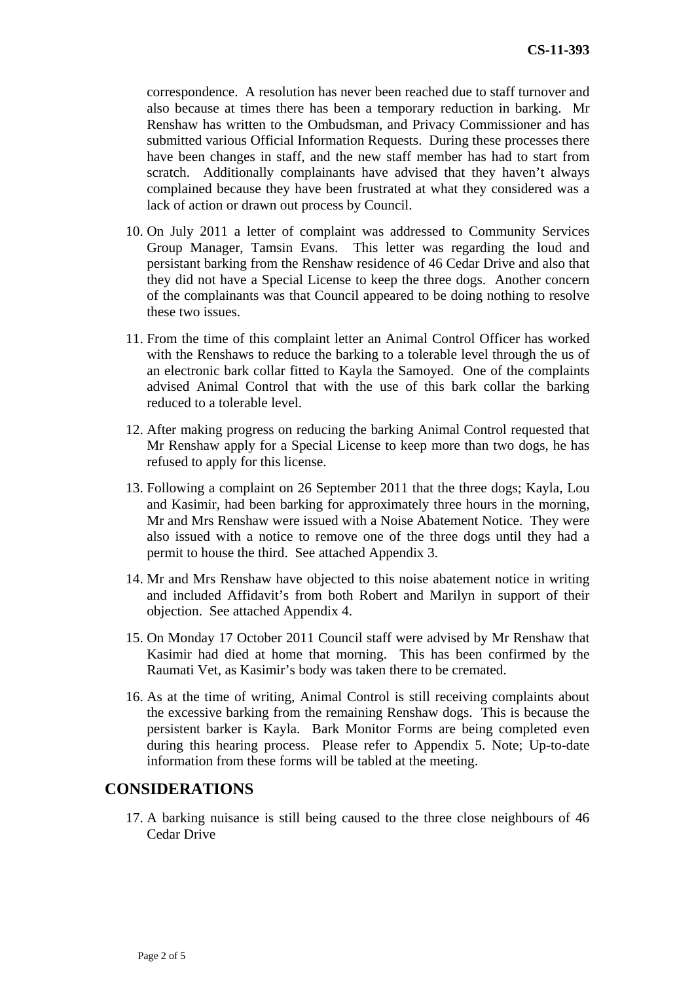correspondence. A resolution has never been reached due to staff tur nover and also because at times there has been a temporary reduction in barking. Mr Renshaw has written to the Ombudsman, and Privacy Commission er and has submitted various Official Information Requests. During these proc esses there have been changes in staff, and the new staff member has had to start from scratch. Additionally complainants have advised that they have n't always complained because they have been fru strated at what they considered was a lack of action or drawn out process by Council.

- 10. On July 2011 a letter of complaint was addressed to Community Services Group Manager, Tamsin Evans. This letter was regarding the loud and persistant barking from the Renshaw residence of 46 Cedar Drive and also that they did not have a Special License to keep the three dogs. Another concern of the complainants was that Council appeared to be doing nothing to resolve these two issues.
- 11. From the time of this complaint letter an Animal Control Officer has worked with the Renshaws to reduce the barking to a tolerable level through the us of an electronic bark collar fitted to Kayla the Samoyed. One of the complaints advised Animal Control that with the use of this bark collar the barking reduced to a tolerable level.
- 12. After making progress on reducing the barking Animal Control requested that Mr Renshaw apply for a Special License to keep more than two dogs, he has refused to apply for this license.
- 13. Following a complaint on 26 September 2011 that the three dogs; Kayla, Lou and Kasimir, had been barking for approximately three hours in the morning, Mr and Mrs Renshaw were issued with a Noise Abatement Notice. They were also issued with a notice to remove one of the three dogs until they had a permit to house the third. See attached Appendix 3.
- 14. Mr and Mrs Renshaw have objected to this noise abatement notice in writing and included Affidavit's from both Robert and Marilyn in support of their objection. See attached Appendix 4.
- 15. On Monday 17 October 2011 Council staff were advised by Mr Renshaw that Kasimir had died at home that morning. This has been confirmed by the Raumati Vet, as Kasimir's body was taken there to be cremated.
- 16. As at the time of writing, Animal Control is still receiving complaints about the excessive barking from the remaining Renshaw dogs. This is because the persistent barker is Kayla. Bark Monitor Forms are being completed even during this hearing process. Please refer to Appendix 5. Note; Up-to-date information from these forms will be tabled at the meeting.

## **CONSIDERATIONS**

17. A barking nuisance is still being caused to the three close neighbours of 46 Cedar Drive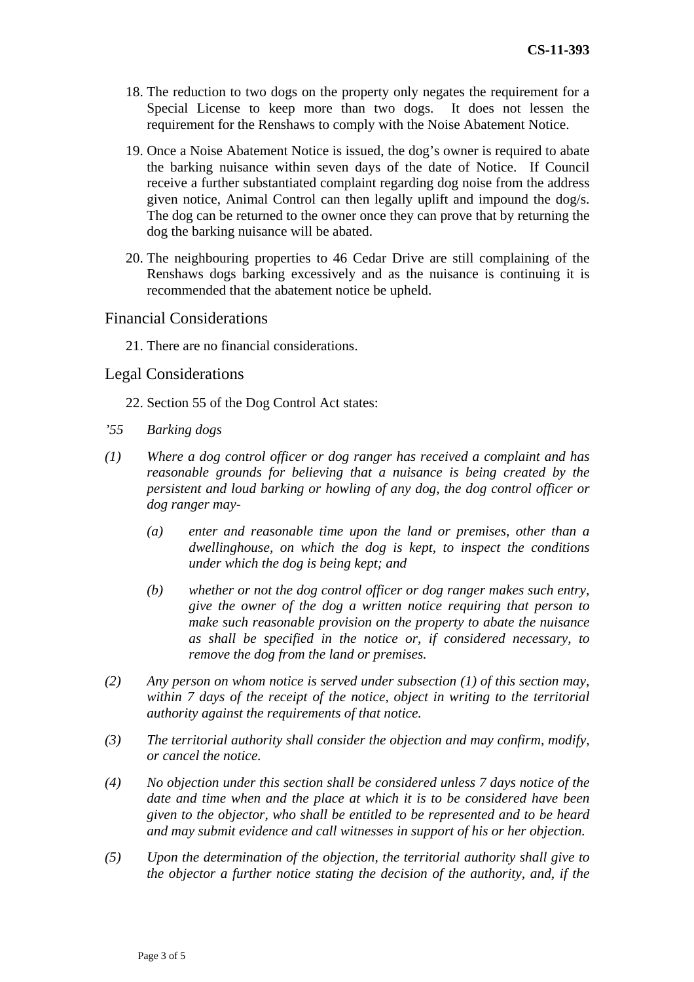- 18. The reduction to two dogs on the property only negates the requirem ent for a Special License to keep more than two dogs. It does not lessen the requirement for the Renshaws to comply with the Noise Abatement Notice.
- 19. Once a Noise Abatement Notice is issued, the dog's owner is required to abate the barking nuisance within seven days of the date of Notice. If Council receive a further substantiated complaint regarding dog noise from the address given notice, Animal Control can then legally uplift and impound the dog/s. The dog can be returned to the owner once they can prove that by returning the dog the barking nuisance will be abated.
- 20. The neighbouring properties to 46 Cedar Drive are still complaining of the Renshaws dogs barking excessively and as the nuisance is continuing it is recommended that the abatement notice be upheld.

#### Financial Considerations

21. There are no financial considerations.

## Legal Considerations

- 2 2. Section 55 of the Dog Control Act states:
- *'55 Barking dogs*
- *(1) control officer or dog ranger has received a complaint and has Where a dog* reasonable grounds for believing that a nuisance is being created by the persistent and loud barking or howling of any dog, the dog control officer or *dog ranger may-* 
	- (a) enter and reasonable time upon the land or premises, other than a dwellinghouse, on which the dog is kept, to inspect the conditions *under which the dog is being kept; and*
	- (b) whether or not the dog control officer or dog ranger makes such entry, give the owner of the dog a written notice requiring that person to make such reasonable provision on the property to abate the nuisance *tice or, if considered necessary, to as shall be specified in the no remove the dog from the land or premises.*
- *(2) Any person on whom notice is served under subsection (1) of this section may,*  within 7 days of the receipt of the notice, object in writing to the territorial *authority against the requirements of that notice.*
- (3) The territorial authority shall consider the objection and may confirm, modify, *or cancel the notice.*
- (4) No objection under this section shall be considered unless 7 days notice of the *date and time when and the place at which it is to be considered have been given to the objector, who shall be entitled to be represented and to be heard and may submit evidence and call witnesses in support of his or her objection.*
- *(5) Upon the determination of the objection, the territorial authority shall give to the objector a further notice stating the decision of the authority, and, if the*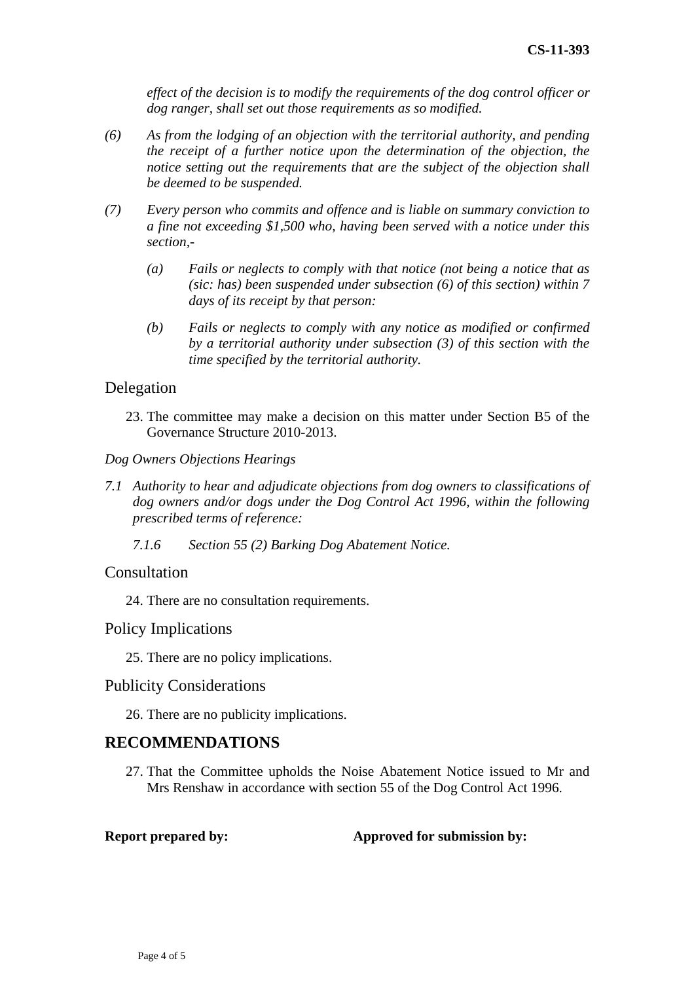*effect of the decision is to modify the requirements of the dog control officer or dog ranger, shall set out those requirements as so modified.* 

- (6) As from the lodging of an objection with the territorial authority, and pending the receipt of a further notice upon the determination of the objection, the *notice setting out the requirements that are the subject of the objection shall be deemed to be suspended.*
- *(7) a fine not exceeding \$1,500 who, having been served with a notice under this Every person who commits and offence and is liable on summary conviction to section,-* 
	- (a) Fails or neglects to comply with that notice (not being a notice that as *(sic: has) been suspended under subsection (6) of this section) within 7 days of its receipt by that person:*
	- (b) Fails or neglects to comply with any notice as modified or confirmed *by a territorial authority under subsection (3) of this section with the time specified by the territorial authority.*

## Delegation

23. The committee may make a decision on this matter under Section B5 of the Governance Structure 2010-2013.

*Dog Owners Objections Hearings* 

- 7.1 Authority to hear and adjudicate objections from dog owners to classifications of dog owners and/or dogs under the Dog Control Act 1996, within the following *prescribed terms of reference:*
- *2) Barking Dog Abatement Notice. 7.1.6 Section 55 (*

#### Consultation

24. There are no consultation requirements.

## Policy Implications

25. There are no policy implications.

#### Publicity Considerations

26. There are no publicity implications.

# **RECOMMENDATIONS**

27. That the Committee upholds the Noise Abatement Notice issued to Mr and Mrs Renshaw in accordance with section 55 of the Dog Control Act 1996.

**Report prepared by:** Approved for submission by: